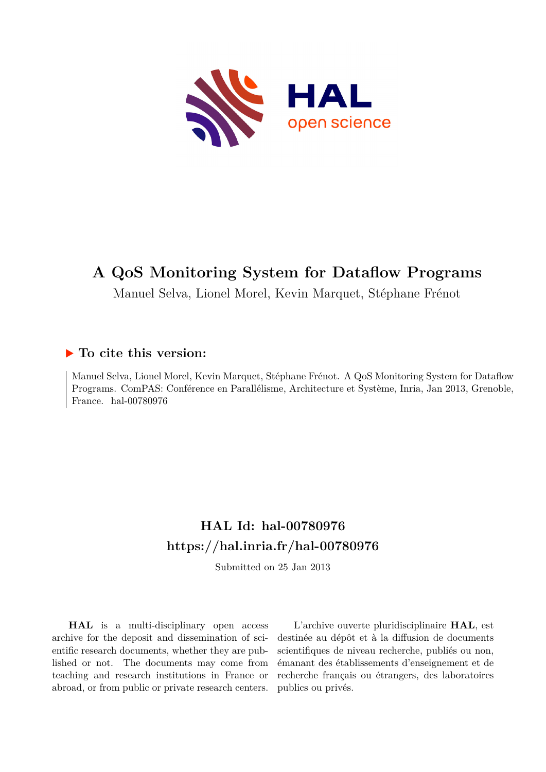

# **A QoS Monitoring System for Dataflow Programs**

Manuel Selva, Lionel Morel, Kevin Marquet, Stéphane Frénot

## **To cite this version:**

Manuel Selva, Lionel Morel, Kevin Marquet, Stéphane Frénot. A QoS Monitoring System for Dataflow Programs. ComPAS: Conférence en Parallélisme, Architecture et Système, Inria, Jan 2013, Grenoble, France. hal- $00780976$ 

## **HAL Id: hal-00780976 <https://hal.inria.fr/hal-00780976>**

Submitted on 25 Jan 2013

**HAL** is a multi-disciplinary open access archive for the deposit and dissemination of scientific research documents, whether they are published or not. The documents may come from teaching and research institutions in France or abroad, or from public or private research centers.

L'archive ouverte pluridisciplinaire **HAL**, est destinée au dépôt et à la diffusion de documents scientifiques de niveau recherche, publiés ou non, émanant des établissements d'enseignement et de recherche français ou étrangers, des laboratoires publics ou privés.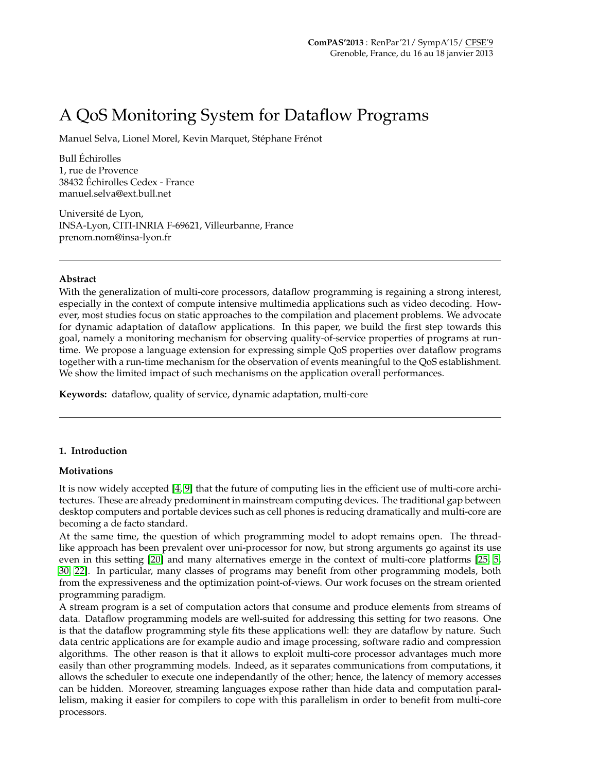# A QoS Monitoring System for Dataflow Programs

Manuel Selva, Lionel Morel, Kevin Marquet, Stéphane Frénot

Bull Échirolles 1, rue de Provence 38432 Échirolles Cedex - France manuel.selva@ext.bull.net

Université de Lyon, INSA-Lyon, CITI-INRIA F-69621, Villeurbanne, France prenom.nom@insa-lyon.fr

#### **Abstract**

With the generalization of multi-core processors, dataflow programming is regaining a strong interest, especially in the context of compute intensive multimedia applications such as video decoding. However, most studies focus on static approaches to the compilation and placement problems. We advocate for dynamic adaptation of dataflow applications. In this paper, we build the first step towards this goal, namely a monitoring mechanism for observing quality-of-service properties of programs at runtime. We propose a language extension for expressing simple QoS properties over dataflow programs together with a run-time mechanism for the observation of events meaningful to the QoS establishment. We show the limited impact of such mechanisms on the application overall performances.

**Keywords:** dataflow, quality of service, dynamic adaptation, multi-core

#### **1. Introduction**

#### **Motivations**

It is now widely accepted [\[4,](#page-10-0) [9\]](#page-11-0) that the future of computing lies in the efficient use of multi-core architectures. These are already predominent in mainstream computing devices. The traditional gap between desktop computers and portable devices such as cell phones is reducing dramatically and multi-core are becoming a de facto standard.

At the same time, the question of which programming model to adopt remains open. The threadlike approach has been prevalent over uni-processor for now, but strong arguments go against its use even in this setting [\[20\]](#page-11-1) and many alternatives emerge in the context of multi-core platforms [\[25,](#page-11-2) [5,](#page-10-1) [30,](#page-11-3) [22\]](#page-11-4). In particular, many classes of programs may benefit from other programming models, both from the expressiveness and the optimization point-of-views. Our work focuses on the stream oriented programming paradigm.

A stream program is a set of computation actors that consume and produce elements from streams of data. Dataflow programming models are well-suited for addressing this setting for two reasons. One is that the dataflow programming style fits these applications well: they are dataflow by nature. Such data centric applications are for example audio and image processing, software radio and compression algorithms. The other reason is that it allows to exploit multi-core processor advantages much more easily than other programming models. Indeed, as it separates communications from computations, it allows the scheduler to execute one independantly of the other; hence, the latency of memory accesses can be hidden. Moreover, streaming languages expose rather than hide data and computation parallelism, making it easier for compilers to cope with this parallelism in order to benefit from multi-core processors.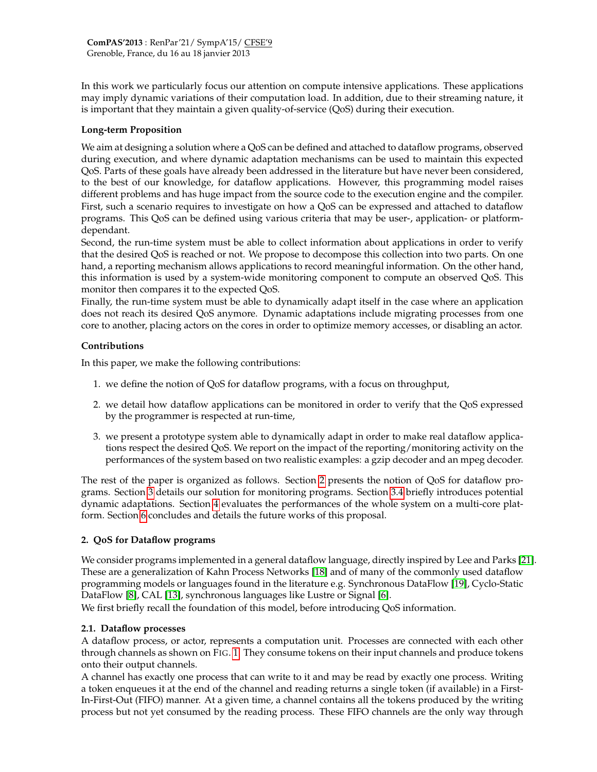In this work we particularly focus our attention on compute intensive applications. These applications may imply dynamic variations of their computation load. In addition, due to their streaming nature, it is important that they maintain a given quality-of-service (QoS) during their execution.

#### **Long-term Proposition**

We aim at designing a solution where a QoS can be defined and attached to dataflow programs, observed during execution, and where dynamic adaptation mechanisms can be used to maintain this expected QoS. Parts of these goals have already been addressed in the literature but have never been considered, to the best of our knowledge, for dataflow applications. However, this programming model raises different problems and has huge impact from the source code to the execution engine and the compiler. First, such a scenario requires to investigate on how a QoS can be expressed and attached to dataflow programs. This QoS can be defined using various criteria that may be user-, application- or platformdependant.

Second, the run-time system must be able to collect information about applications in order to verify that the desired QoS is reached or not. We propose to decompose this collection into two parts. On one hand, a reporting mechanism allows applications to record meaningful information. On the other hand, this information is used by a system-wide monitoring component to compute an observed QoS. This monitor then compares it to the expected QoS.

Finally, the run-time system must be able to dynamically adapt itself in the case where an application does not reach its desired QoS anymore. Dynamic adaptations include migrating processes from one core to another, placing actors on the cores in order to optimize memory accesses, or disabling an actor.

## **Contributions**

In this paper, we make the following contributions:

- 1. we define the notion of QoS for dataflow programs, with a focus on throughput,
- 2. we detail how dataflow applications can be monitored in order to verify that the QoS expressed by the programmer is respected at run-time,
- 3. we present a prototype system able to dynamically adapt in order to make real dataflow applications respect the desired QoS. We report on the impact of the reporting/monitoring activity on the performances of the system based on two realistic examples: a gzip decoder and an mpeg decoder.

The rest of the paper is organized as follows. Section [2](#page-2-0) presents the notion of QoS for dataflow programs. Section [3](#page-4-0) details our solution for monitoring programs. Section [3.4](#page-5-0) briefly introduces potential dynamic adaptations. Section [4](#page-5-1) evaluates the performances of the whole system on a multi-core platform. Section [6](#page-10-2) concludes and details the future works of this proposal.

## <span id="page-2-0"></span>**2. QoS for Dataflow programs**

We consider programs implemented in a general dataflow language, directly inspired by Lee and Parks [\[21\]](#page-11-5). These are a generalization of Kahn Process Networks [\[18\]](#page-11-6) and of many of the commonly used dataflow programming models or languages found in the literature e.g. Synchronous DataFlow [\[19\]](#page-11-7), Cyclo-Static DataFlow [\[8\]](#page-11-8), CAL [\[13\]](#page-11-9), synchronous languages like Lustre or Signal [\[6\]](#page-10-3).

We first briefly recall the foundation of this model, before introducing QoS information.

## **2.1. Dataflow processes**

A dataflow process, or actor, represents a computation unit. Processes are connected with each other through channels as shown on FIG. [1.](#page-3-0) They consume tokens on their input channels and produce tokens onto their output channels.

A channel has exactly one process that can write to it and may be read by exactly one process. Writing a token enqueues it at the end of the channel and reading returns a single token (if available) in a First-In-First-Out (FIFO) manner. At a given time, a channel contains all the tokens produced by the writing process but not yet consumed by the reading process. These FIFO channels are the only way through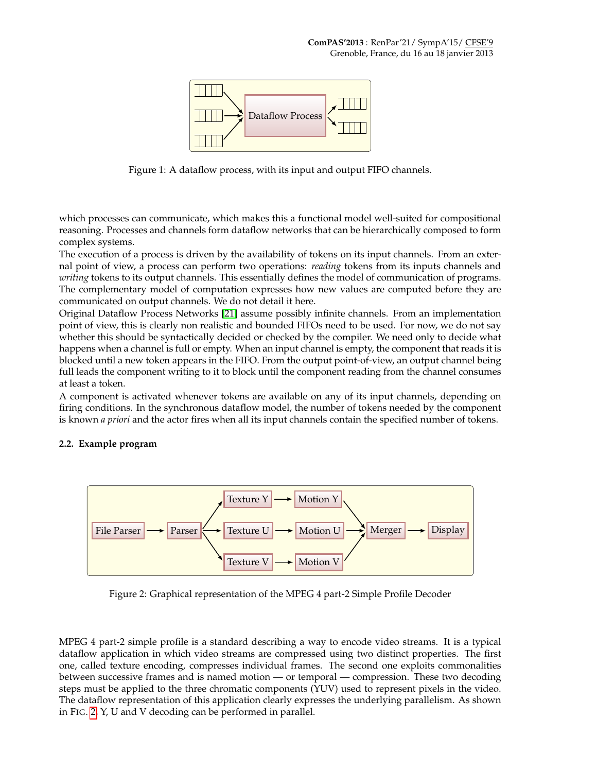

<span id="page-3-0"></span>Figure 1: A dataflow process, with its input and output FIFO channels.

which processes can communicate, which makes this a functional model well-suited for compositional reasoning. Processes and channels form dataflow networks that can be hierarchically composed to form complex systems.

The execution of a process is driven by the availability of tokens on its input channels. From an external point of view, a process can perform two operations: *reading* tokens from its inputs channels and *writing* tokens to its output channels. This essentially defines the model of communication of programs. The complementary model of computation expresses how new values are computed before they are communicated on output channels. We do not detail it here.

Original Dataflow Process Networks [\[21\]](#page-11-5) assume possibly infinite channels. From an implementation point of view, this is clearly non realistic and bounded FIFOs need to be used. For now, we do not say whether this should be syntactically decided or checked by the compiler. We need only to decide what happens when a channel is full or empty. When an input channel is empty, the component that reads it is blocked until a new token appears in the FIFO. From the output point-of-view, an output channel being full leads the component writing to it to block until the component reading from the channel consumes at least a token.

A component is activated whenever tokens are available on any of its input channels, depending on firing conditions. In the synchronous dataflow model, the number of tokens needed by the component is known *a priori* and the actor fires when all its input channels contain the specified number of tokens.

#### **2.2. Example program**



<span id="page-3-1"></span>Figure 2: Graphical representation of the MPEG 4 part-2 Simple Profile Decoder

MPEG 4 part-2 simple profile is a standard describing a way to encode video streams. It is a typical dataflow application in which video streams are compressed using two distinct properties. The first one, called texture encoding, compresses individual frames. The second one exploits commonalities between successive frames and is named motion — or temporal — compression. These two decoding steps must be applied to the three chromatic components (YUV) used to represent pixels in the video. The dataflow representation of this application clearly expresses the underlying parallelism. As shown in FIG. [2,](#page-3-1) Y, U and V decoding can be performed in parallel.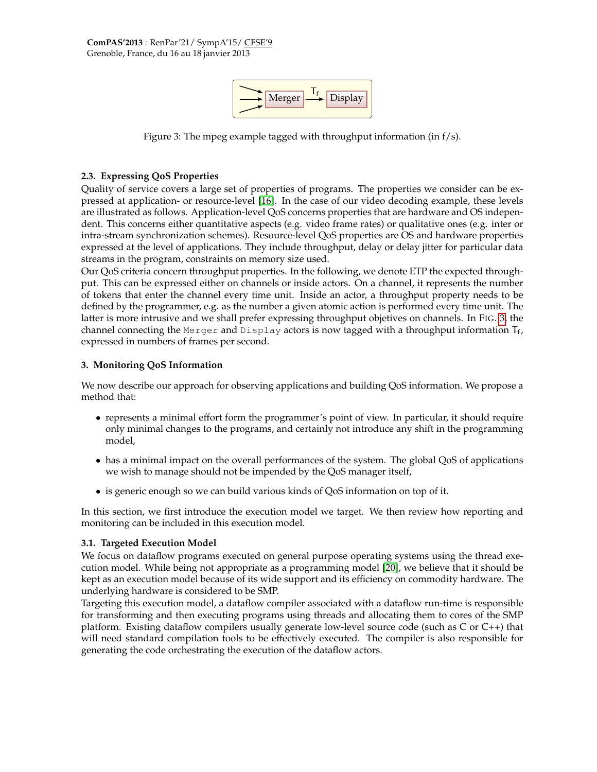

<span id="page-4-1"></span>Figure 3: The mpeg example tagged with throughput information (in f/s).

#### <span id="page-4-2"></span>**2.3. Expressing QoS Properties**

Quality of service covers a large set of properties of programs. The properties we consider can be expressed at application- or resource-level [\[16\]](#page-11-10). In the case of our video decoding example, these levels are illustrated as follows. Application-level QoS concerns properties that are hardware and OS independent. This concerns either quantitative aspects (e.g. video frame rates) or qualitative ones (e.g. inter or intra-stream synchronization schemes). Resource-level QoS properties are OS and hardware properties expressed at the level of applications. They include throughput, delay or delay jitter for particular data streams in the program, constraints on memory size used.

Our QoS criteria concern throughput properties. In the following, we denote ETP the expected throughput. This can be expressed either on channels or inside actors. On a channel, it represents the number of tokens that enter the channel every time unit. Inside an actor, a throughput property needs to be defined by the programmer, e.g. as the number a given atomic action is performed every time unit. The latter is more intrusive and we shall prefer expressing throughput objetives on channels. In FIG. [3,](#page-4-1) the channel connecting the Merger and Display actors is now tagged with a throughput information  $T_f$ , expressed in numbers of frames per second.

#### <span id="page-4-0"></span>**3. Monitoring QoS Information**

We now describe our approach for observing applications and building QoS information. We propose a method that:

- represents a minimal effort form the programmer's point of view. In particular, it should require only minimal changes to the programs, and certainly not introduce any shift in the programming model,
- has a minimal impact on the overall performances of the system. The global QoS of applications we wish to manage should not be impended by the QoS manager itself,
- is generic enough so we can build various kinds of QoS information on top of it.

In this section, we first introduce the execution model we target. We then review how reporting and monitoring can be included in this execution model.

#### **3.1. Targeted Execution Model**

We focus on dataflow programs executed on general purpose operating systems using the thread execution model. While being not appropriate as a programming model [\[20\]](#page-11-1), we believe that it should be kept as an execution model because of its wide support and its efficiency on commodity hardware. The underlying hardware is considered to be SMP.

Targeting this execution model, a dataflow compiler associated with a dataflow run-time is responsible for transforming and then executing programs using threads and allocating them to cores of the SMP platform. Existing dataflow compilers usually generate low-level source code (such as C or C++) that will need standard compilation tools to be effectively executed. The compiler is also responsible for generating the code orchestrating the execution of the dataflow actors.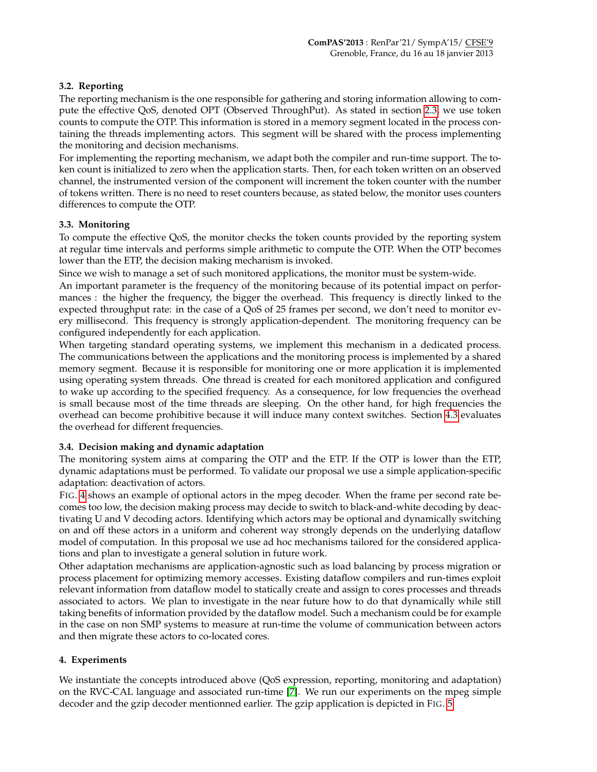## **3.2. Reporting**

The reporting mechanism is the one responsible for gathering and storing information allowing to compute the effective QoS, denoted OPT (Observed ThroughPut). As stated in section [2.3,](#page-4-2) we use token counts to compute the OTP. This information is stored in a memory segment located in the process containing the threads implementing actors. This segment will be shared with the process implementing the monitoring and decision mechanisms.

For implementing the reporting mechanism, we adapt both the compiler and run-time support. The token count is initialized to zero when the application starts. Then, for each token written on an observed channel, the instrumented version of the component will increment the token counter with the number of tokens written. There is no need to reset counters because, as stated below, the monitor uses counters differences to compute the OTP.

## <span id="page-5-2"></span>**3.3. Monitoring**

To compute the effective QoS, the monitor checks the token counts provided by the reporting system at regular time intervals and performs simple arithmetic to compute the OTP. When the OTP becomes lower than the ETP, the decision making mechanism is invoked.

Since we wish to manage a set of such monitored applications, the monitor must be system-wide.

An important parameter is the frequency of the monitoring because of its potential impact on performances : the higher the frequency, the bigger the overhead. This frequency is directly linked to the expected throughput rate: in the case of a QoS of 25 frames per second, we don't need to monitor every millisecond. This frequency is strongly application-dependent. The monitoring frequency can be configured independently for each application.

When targeting standard operating systems, we implement this mechanism in a dedicated process. The communications between the applications and the monitoring process is implemented by a shared memory segment. Because it is responsible for monitoring one or more application it is implemented using operating system threads. One thread is created for each monitored application and configured to wake up according to the specified frequency. As a consequence, for low frequencies the overhead is small because most of the time threads are sleeping. On the other hand, for high frequencies the overhead can become prohibitive because it will induce many context switches. Section [4.3](#page-7-0) evaluates the overhead for different frequencies.

## <span id="page-5-0"></span>**3.4. Decision making and dynamic adaptation**

The monitoring system aims at comparing the OTP and the ETP. If the OTP is lower than the ETP, dynamic adaptations must be performed. To validate our proposal we use a simple application-specific adaptation: deactivation of actors.

FIG. [4](#page-6-0) shows an example of optional actors in the mpeg decoder. When the frame per second rate becomes too low, the decision making process may decide to switch to black-and-white decoding by deactivating U and V decoding actors. Identifying which actors may be optional and dynamically switching on and off these actors in a uniform and coherent way strongly depends on the underlying dataflow model of computation. In this proposal we use ad hoc mechanisms tailored for the considered applications and plan to investigate a general solution in future work.

Other adaptation mechanisms are application-agnostic such as load balancing by process migration or process placement for optimizing memory accesses. Existing dataflow compilers and run-times exploit relevant information from dataflow model to statically create and assign to cores processes and threads associated to actors. We plan to investigate in the near future how to do that dynamically while still taking benefits of information provided by the dataflow model. Such a mechanism could be for example in the case on non SMP systems to measure at run-time the volume of communication between actors and then migrate these actors to co-located cores.

## <span id="page-5-1"></span>**4. Experiments**

We instantiate the concepts introduced above (QoS expression, reporting, monitoring and adaptation) on the RVC-CAL language and associated run-time [\[7\]](#page-11-11). We run our experiments on the mpeg simple decoder and the gzip decoder mentionned earlier. The gzip application is depicted in FIG. [5.](#page-6-1)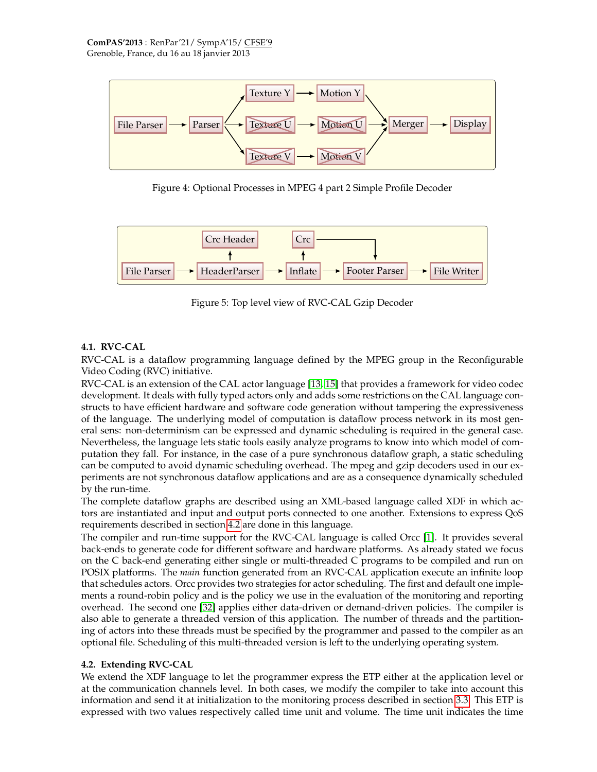

<span id="page-6-0"></span>Figure 4: Optional Processes in MPEG 4 part 2 Simple Profile Decoder



<span id="page-6-1"></span>Figure 5: Top level view of RVC-CAL Gzip Decoder

## **4.1. RVC-CAL**

RVC-CAL is a dataflow programming language defined by the MPEG group in the Reconfigurable Video Coding (RVC) initiative.

RVC-CAL is an extension of the CAL actor language [\[13,](#page-11-9) [15\]](#page-11-12) that provides a framework for video codec development. It deals with fully typed actors only and adds some restrictions on the CAL language constructs to have efficient hardware and software code generation without tampering the expressiveness of the language. The underlying model of computation is dataflow process network in its most general sens: non-determinism can be expressed and dynamic scheduling is required in the general case. Nevertheless, the language lets static tools easily analyze programs to know into which model of computation they fall. For instance, in the case of a pure synchronous dataflow graph, a static scheduling can be computed to avoid dynamic scheduling overhead. The mpeg and gzip decoders used in our experiments are not synchronous dataflow applications and are as a consequence dynamically scheduled by the run-time.

The complete dataflow graphs are described using an XML-based language called XDF in which actors are instantiated and input and output ports connected to one another. Extensions to express QoS requirements described in section [4.2](#page-6-2) are done in this language.

The compiler and run-time support for the RVC-CAL language is called Orcc [\[1\]](#page-10-4). It provides several back-ends to generate code for different software and hardware platforms. As already stated we focus on the C back-end generating either single or multi-threaded C programs to be compiled and run on POSIX platforms. The *main* function generated from an RVC-CAL application execute an infinite loop that schedules actors. Orcc provides two strategies for actor scheduling. The first and default one implements a round-robin policy and is the policy we use in the evaluation of the monitoring and reporting overhead. The second one [\[32\]](#page-11-13) applies either data-driven or demand-driven policies. The compiler is also able to generate a threaded version of this application. The number of threads and the partitioning of actors into these threads must be specified by the programmer and passed to the compiler as an optional file. Scheduling of this multi-threaded version is left to the underlying operating system.

## <span id="page-6-2"></span>**4.2. Extending RVC-CAL**

We extend the XDF language to let the programmer express the ETP either at the application level or at the communication channels level. In both cases, we modify the compiler to take into account this information and send it at initialization to the monitoring process described in section [3.3.](#page-5-2) This ETP is expressed with two values respectively called time unit and volume. The time unit indicates the time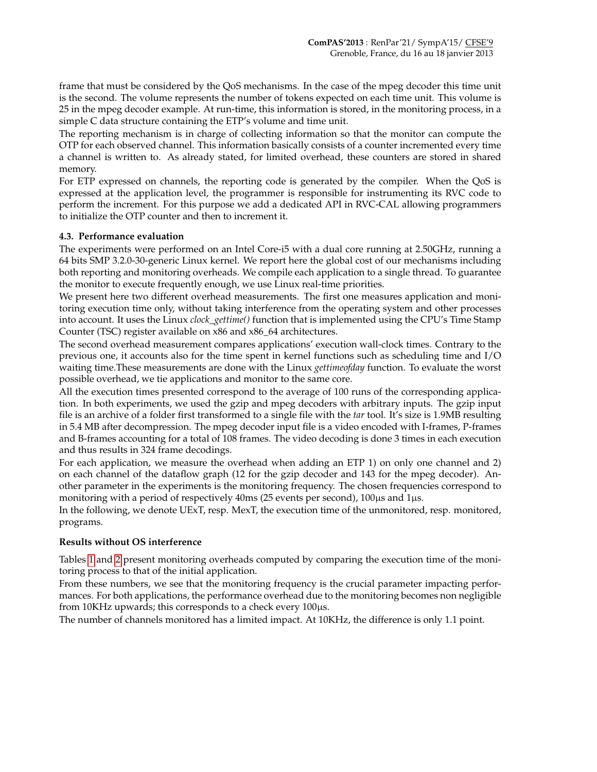frame that must be considered by the QoS mechanisms. In the case of the mpeg decoder this time unit is the second. The volume represents the number of tokens expected on each time unit. This volume is 25 in the mpeg decoder example. At run-time, this information is stored, in the monitoring process, in a simple C data structure containing the ETP's volume and time unit.

The reporting mechanism is in charge of collecting information so that the monitor can compute the OTP for each observed channel. This information basically consists of a counter incremented every time a channel is written to. As already stated, for limited overhead, these counters are stored in shared memory.

For ETP expressed on channels, the reporting code is generated by the compiler. When the QoS is expressed at the application level, the programmer is responsible for instrumenting its RVC code to perform the increment. For this purpose we add a dedicated API in RVC-CAL allowing programmers to initialize the OTP counter and then to increment it.

#### <span id="page-7-0"></span>**4.3. Performance evaluation**

The experiments were performed on an Intel Core-i5 with a dual core running at 2.50GHz, running a 64 bits SMP 3.2.0-30-generic Linux kernel. We report here the global cost of our mechanisms including both reporting and monitoring overheads. We compile each application to a single thread. To guarantee the monitor to execute frequently enough, we use Linux real-time priorities.

We present here two different overhead measurements. The first one measures application and monitoring execution time only, without taking interference from the operating system and other processes into account. It uses the Linux *clock\_gettime()* function that is implemented using the CPU's Time Stamp Counter (TSC) register available on x86 and x86\_64 architectures.

The second overhead measurement compares applications' execution wall-clock times. Contrary to the previous one, it accounts also for the time spent in kernel functions such as scheduling time and I/O waiting time.These measurements are done with the Linux *gettimeofday* function. To evaluate the worst possible overhead, we tie applications and monitor to the same core.

All the execution times presented correspond to the average of 100 runs of the corresponding application. In both experiments, we used the gzip and mpeg decoders with arbitrary inputs. The gzip input file is an archive of a folder first transformed to a single file with the *tar* tool. It's size is 1.9MB resulting in 5.4 MB after decompression. The mpeg decoder input file is a video encoded with I-frames, P-frames and B-frames accounting for a total of 108 frames. The video decoding is done 3 times in each execution and thus results in 324 frame decodings.

For each application, we measure the overhead when adding an ETP 1) on only one channel and 2) on each channel of the dataflow graph (12 for the gzip decoder and 143 for the mpeg decoder). Another parameter in the experiments is the monitoring frequency. The chosen frequencies correspond to monitoring with a period of respectively 40ms (25 events per second), 100µs and 1µs.

In the following, we denote UExT, resp. MexT, the execution time of the unmonitored, resp. monitored, programs.

#### **Results without OS interference**

Tables [1](#page-8-0) and [2](#page-8-1) present monitoring overheads computed by comparing the execution time of the monitoring process to that of the initial application.

From these numbers, we see that the monitoring frequency is the crucial parameter impacting performances. For both applications, the performance overhead due to the monitoring becomes non negligible from 10KHz upwards; this corresponds to a check every 100µs.

The number of channels monitored has a limited impact. At 10KHz, the difference is only 1.1 point.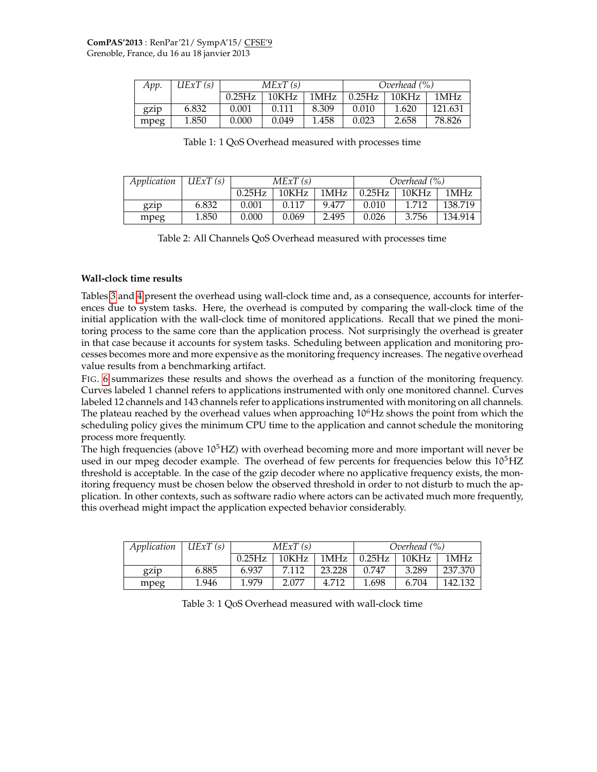| App. | UExT(s) | MExT(s) |       |       | Overhead (%) |       |         |
|------|---------|---------|-------|-------|--------------|-------|---------|
|      |         | 0.25Hz  | 10KHz | 1MHz  | 0.25Hz       | 10KHz | 1MHz    |
| gzip | 6.832   | 0.001   | 0.111 | 8.309 | 0.010        | 1.620 | 121.631 |
| mpeg | 1.850   | 0.000   | 0.049 | 1.458 | 0.023        | 2.658 | 78.826  |

<span id="page-8-0"></span>Table 1: 1 QoS Overhead measured with processes time

| Application | UExT(s) | MExT(s) |       |       |        | Overhead (%) |         |  |
|-------------|---------|---------|-------|-------|--------|--------------|---------|--|
|             |         | 0.25Hz  | 10KHz | 1MHz  | 0.25Hz | 10KHz        | 1MHz    |  |
| gzip        | 6.832   | 0.001   | 0.117 | 9.477 | 0.010  | 1.712        | 138.719 |  |
| mpeg        | 1.850   | 0.000   | 0.069 | 2.495 | 0.026  | 3.756        | 134.914 |  |

<span id="page-8-1"></span>Table 2: All Channels QoS Overhead measured with processes time

#### **Wall-clock time results**

Tables [3](#page-8-2) and [4](#page-9-0) present the overhead using wall-clock time and, as a consequence, accounts for interferences due to system tasks. Here, the overhead is computed by comparing the wall-clock time of the initial application with the wall-clock time of monitored applications. Recall that we pined the monitoring process to the same core than the application process. Not surprisingly the overhead is greater in that case because it accounts for system tasks. Scheduling between application and monitoring processes becomes more and more expensive as the monitoring frequency increases. The negative overhead value results from a benchmarking artifact.

FIG. [6](#page-9-1) summarizes these results and shows the overhead as a function of the monitoring frequency. Curves labeled 1 channel refers to applications instrumented with only one monitored channel. Curves labeled 12 channels and 143 channels refer to applications instrumented with monitoring on all channels. The plateau reached by the overhead values when approaching  $10<sup>6</sup>Hz$  shows the point from which the scheduling policy gives the minimum CPU time to the application and cannot schedule the monitoring process more frequently.

The high frequencies (above  $10^5$ HZ) with overhead becoming more and more important will never be used in our mpeg decoder example. The overhead of few percents for frequencies below this  $10<sup>5</sup>$ HZ threshold is acceptable. In the case of the gzip decoder where no applicative frequency exists, the monitoring frequency must be chosen below the observed threshold in order to not disturb to much the application. In other contexts, such as software radio where actors can be activated much more frequently, this overhead might impact the application expected behavior considerably.

| Application | UExT(s) | MExT(s) |       |        | Overhead (%) |       |         |
|-------------|---------|---------|-------|--------|--------------|-------|---------|
|             |         | 0.25Hz  | 10KHz | 1MHz   | 0.25Hz       | 10KHz | 1MHz    |
| gzip        | 6.885   | 6.937   | 7.112 | 23.228 | 0.747        | 3.289 | 237.370 |
| mpeg        | 1.946   | 1.979   | 2.077 | 4.712  | 1.698        | 6.704 | 142.132 |

<span id="page-8-2"></span>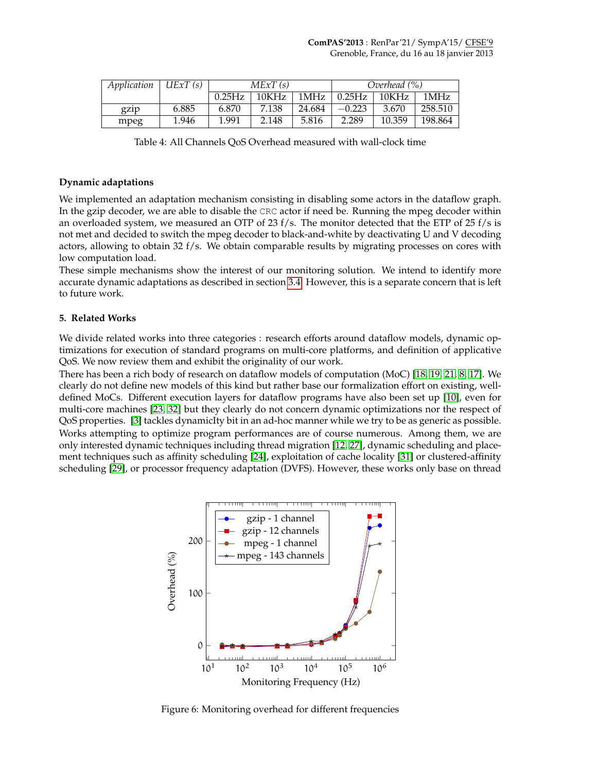| Application | UExT(s) | MExT(s) |       |        | Overhead (%) |        |         |
|-------------|---------|---------|-------|--------|--------------|--------|---------|
|             |         | 0.25Hz  | 10KHz | 1MHz   | 0.25Hz       | 10KHz  | 1MHz    |
| gz1p        | 6.885   | 6.870   | 7.138 | 24.684 | $-0.223$     | 3.670  | 258.510 |
| mpeg        | 1.946   | 1.991   | 2.148 | 5.816  | 2.289        | 10.359 | 198.864 |

<span id="page-9-0"></span>Table 4: All Channels QoS Overhead measured with wall-clock time

#### **Dynamic adaptations**

We implemented an adaptation mechanism consisting in disabling some actors in the dataflow graph. In the gzip decoder, we are able to disable the CRC actor if need be. Running the mpeg decoder within an overloaded system, we measured an OTP of 23 f/s. The monitor detected that the ETP of 25 f/s is not met and decided to switch the mpeg decoder to black-and-white by deactivating U and V decoding actors, allowing to obtain 32 f/s. We obtain comparable results by migrating processes on cores with low computation load.

These simple mechanisms show the interest of our monitoring solution. We intend to identify more accurate dynamic adaptations as described in section [3.4.](#page-5-0) However, this is a separate concern that is left to future work.

#### **5. Related Works**

We divide related works into three categories : research efforts around dataflow models, dynamic optimizations for execution of standard programs on multi-core platforms, and definition of applicative QoS. We now review them and exhibit the originality of our work.

There has been a rich body of research on dataflow models of computation (MoC) [\[18,](#page-11-6) [19,](#page-11-7) [21,](#page-11-5) [8,](#page-11-8) [17\]](#page-11-14). We clearly do not define new models of this kind but rather base our formalization effort on existing, welldefined MoCs. Different execution layers for dataflow programs have also been set up [\[10\]](#page-11-15), even for multi-core machines [\[23,](#page-11-16) [32\]](#page-11-13) but they clearly do not concern dynamic optimizations nor the respect of QoS properties. [\[3\]](#page-10-5) tackles dynamicIty bit in an ad-hoc manner while we try to be as generic as possible. Works attempting to optimize program performances are of course numerous. Among them, we are only interested dynamic techniques including thread migration [\[12,](#page-11-17) [27\]](#page-11-18), dynamic scheduling and placement techniques such as affinity scheduling [\[24\]](#page-11-19), exploitation of cache locality [\[31\]](#page-11-20) or clustered-affinity scheduling [\[29\]](#page-11-21), or processor frequency adaptation (DVFS). However, these works only base on thread



<span id="page-9-1"></span>Figure 6: Monitoring overhead for different frequencies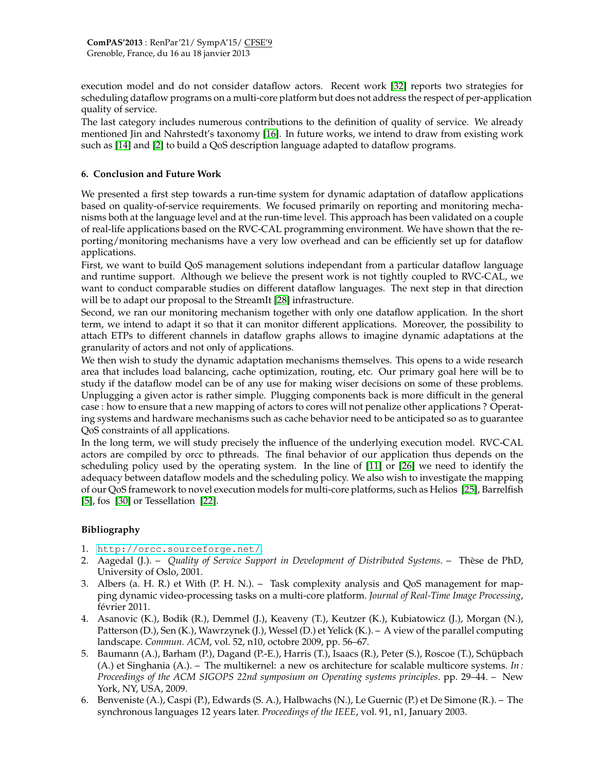execution model and do not consider dataflow actors. Recent work [\[32\]](#page-11-13) reports two strategies for scheduling dataflow programs on a multi-core platform but does not address the respect of per-application quality of service.

The last category includes numerous contributions to the definition of quality of service. We already mentioned Jin and Nahrstedt's taxonomy [\[16\]](#page-11-10). In future works, we intend to draw from existing work such as [\[14\]](#page-11-22) and [\[2\]](#page-10-6) to build a QoS description language adapted to dataflow programs.

#### <span id="page-10-2"></span>**6. Conclusion and Future Work**

We presented a first step towards a run-time system for dynamic adaptation of dataflow applications based on quality-of-service requirements. We focused primarily on reporting and monitoring mechanisms both at the language level and at the run-time level. This approach has been validated on a couple of real-life applications based on the RVC-CAL programming environment. We have shown that the reporting/monitoring mechanisms have a very low overhead and can be efficiently set up for dataflow applications.

First, we want to build QoS management solutions independant from a particular dataflow language and runtime support. Although we believe the present work is not tightly coupled to RVC-CAL, we want to conduct comparable studies on different dataflow languages. The next step in that direction will be to adapt our proposal to the StreamIt [\[28\]](#page-11-23) infrastructure.

Second, we ran our monitoring mechanism together with only one dataflow application. In the short term, we intend to adapt it so that it can monitor different applications. Moreover, the possibility to attach ETPs to different channels in dataflow graphs allows to imagine dynamic adaptations at the granularity of actors and not only of applications.

We then wish to study the dynamic adaptation mechanisms themselves. This opens to a wide research area that includes load balancing, cache optimization, routing, etc. Our primary goal here will be to study if the dataflow model can be of any use for making wiser decisions on some of these problems. Unplugging a given actor is rather simple. Plugging components back is more difficult in the general case : how to ensure that a new mapping of actors to cores will not penalize other applications ? Operating systems and hardware mechanisms such as cache behavior need to be anticipated so as to guarantee QoS constraints of all applications.

In the long term, we will study precisely the influence of the underlying execution model. RVC-CAL actors are compiled by orcc to pthreads. The final behavior of our application thus depends on the scheduling policy used by the operating system. In the line of [\[11\]](#page-11-24) or [\[26\]](#page-11-25) we need to identify the adequacy between dataflow models and the scheduling policy. We also wish to investigate the mapping of our QoS framework to novel execution models for multi-core platforms, such as Helios [\[25\]](#page-11-2), Barrelfish [\[5\]](#page-10-1), fos [\[30\]](#page-11-3) or Tessellation [\[22\]](#page-11-4).

## **Bibliography**

- <span id="page-10-4"></span>1. <http://orcc.sourceforge.net/>.
- <span id="page-10-6"></span>2. Aagedal (J.). – *Quality of Service Support in Development of Distributed Systems*. – Thèse de PhD, University of Oslo, 2001.
- <span id="page-10-5"></span>3. Albers (a. H. R.) et With (P. H. N.). – Task complexity analysis and QoS management for mapping dynamic video-processing tasks on a multi-core platform. *Journal of Real-Time Image Processing*, février 2011.
- <span id="page-10-0"></span>4. Asanovic (K.), Bodik (R.), Demmel (J.), Keaveny (T.), Keutzer (K.), Kubiatowicz (J.), Morgan (N.), Patterson (D.), Sen (K.), Wawrzynek (J.), Wessel (D.) et Yelick (K.). – A view of the parallel computing landscape. *Commun. ACM*, vol. 52, n10, octobre 2009, pp. 56–67.
- <span id="page-10-1"></span>5. Baumann (A.), Barham (P.), Dagand (P.-E.), Harris (T.), Isaacs (R.), Peter (S.), Roscoe (T.), Schüpbach (A.) et Singhania (A.). – The multikernel: a new os architecture for scalable multicore systems. *In : Proceedings of the ACM SIGOPS 22nd symposium on Operating systems principles*. pp. 29–44. – New York, NY, USA, 2009.
- <span id="page-10-3"></span>6. Benveniste (A.), Caspi (P.), Edwards (S. A.), Halbwachs (N.), Le Guernic (P.) et De Simone (R.). – The synchronous languages 12 years later. *Proceedings of the IEEE*, vol. 91, n1, January 2003.